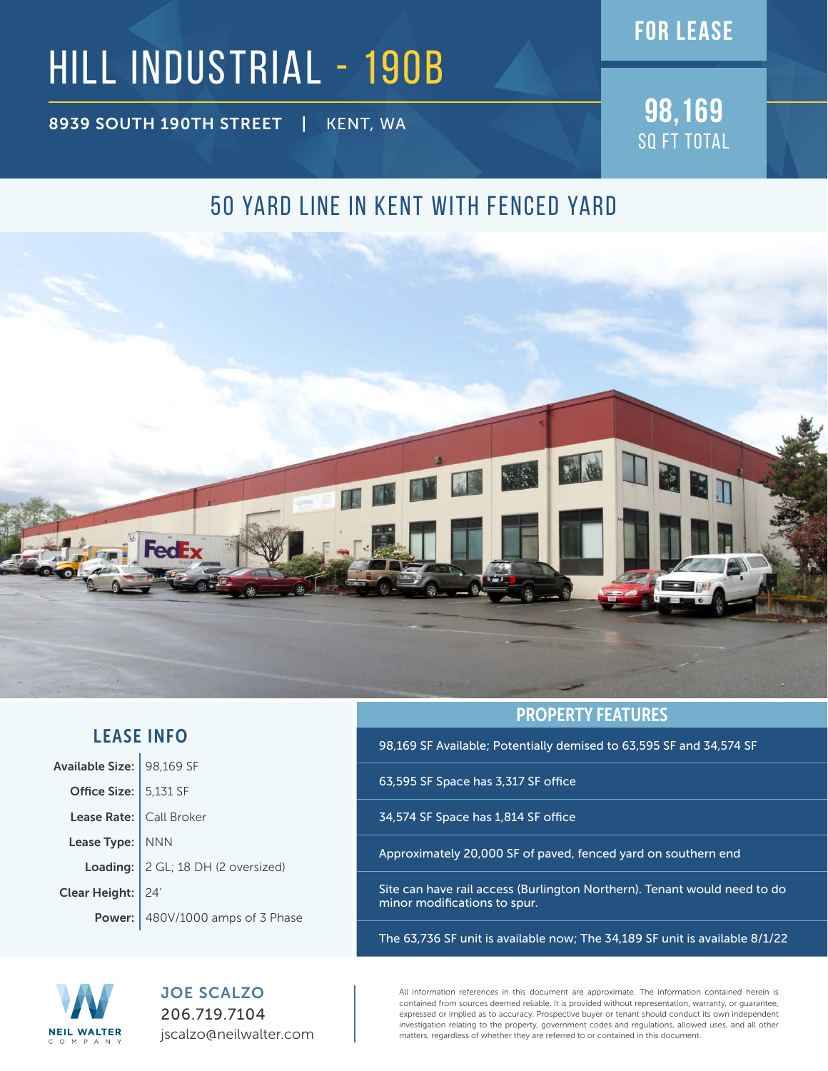### **FOR lease**

# HILL INDUSTRIAL - 190B

**8939 SOUTH 190TH STREET** | KENT, WA **98,169** 

SQ FT TOTAL

### 50 YARD LINE IN KENT WITH FENCED YARD



#### LEASE INFO

| Available Size:   98,169 SF |                                           |
|-----------------------------|-------------------------------------------|
| Office Size: $5,131$ SF     |                                           |
| Lease Rate:                 | Call Broker                               |
| Lease Type:   NNN           |                                           |
|                             | Loading:   2 GL; 18 DH (2 oversized)      |
| Clear Height:   24'         |                                           |
|                             | <b>Power:</b> $480V/1000$ amps of 3 Phase |

PROPERTY FEATURES

98,169 SF Available; Potentially demised to 63,595 SF and 34,574 SF

63,595 SF Space has 3,317 SF office

34,574 SF Space has 1,814 SF office

Approximately 20,000 SF of paved, fenced yard on southern end

Site can have rail access (Burlington Northern). Tenant would need to do minor modifications to spur.

The 63,736 SF unit is available now; The 34,189 SF unit is available 8/1/22



JOE SCALZO 206.719.7104 jscalzo@neilwalter.com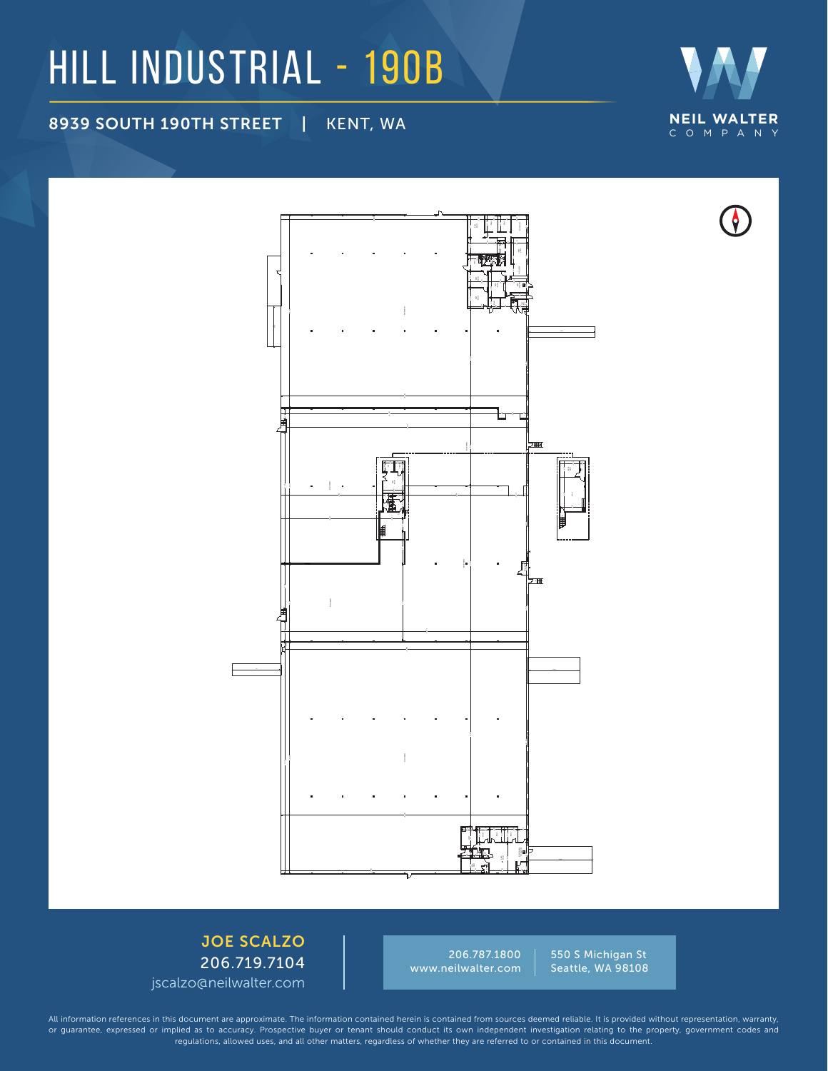### HILL INDUSTRIAL - 190B

8939 SOUTH 190TH STREET | KENT, WA **NEIL WALTER**





550 S Michigan St Seattle, WA 98108 206.787.1800 www.neilwalter.com

JOE SCALZO 206.719.7104 jscalzo@neilwalter.com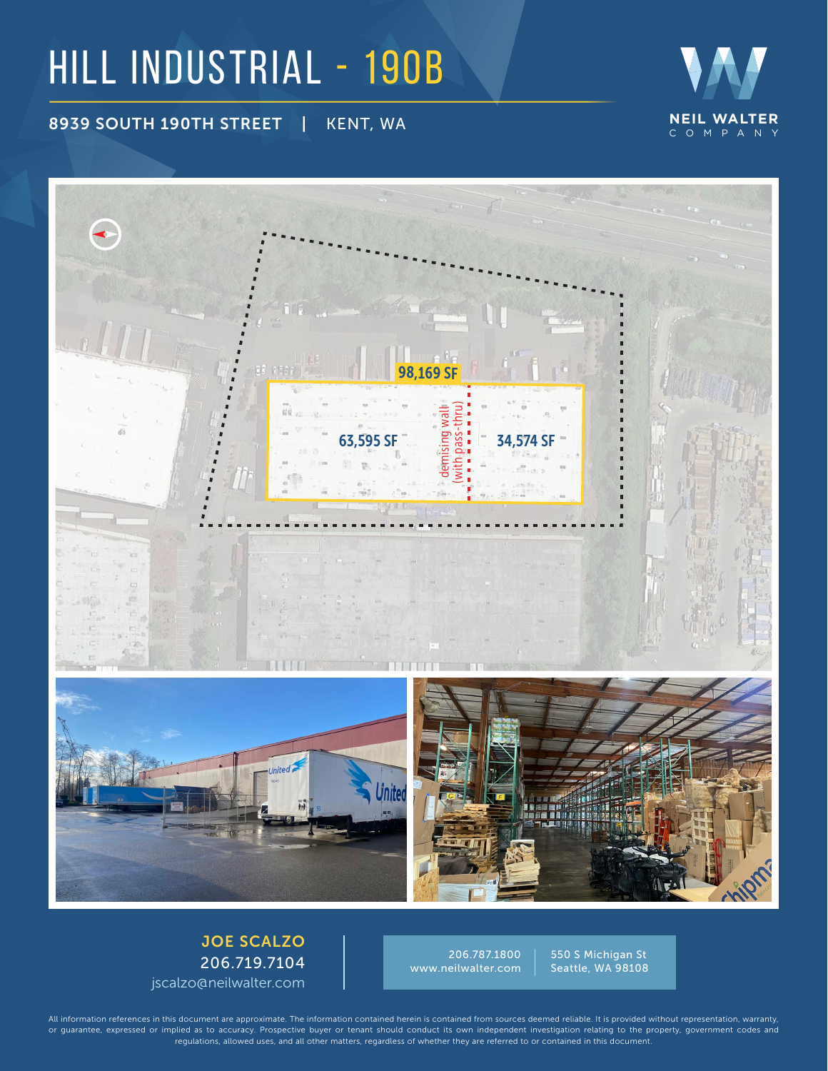## HILL INDUSTRIAL - 190B

8939 SOUTH 190TH STREET | KENT, WA





206.787.1800 www.neilwalter.com

550 S Michigan St Seattle, WA 98108

JOE SCALZO 206.719.7104 jscalzo@neilwalter.com